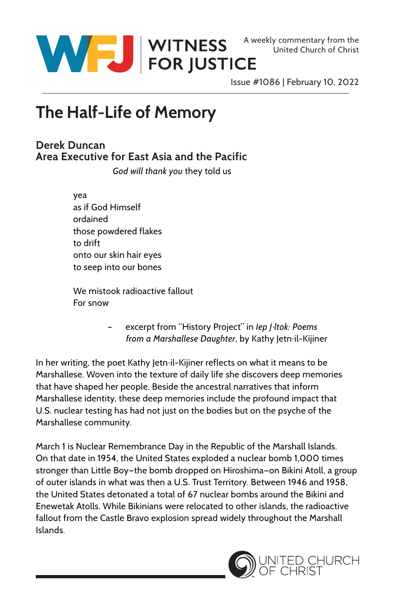

Issue #1086 | February 10, 2022

## **The Half-Life of Memory**

## **Derek Duncan Area Executive for East Asia and the Pacific**

*God will thank you* they told us

 yea as if God Himself ordained those powdered flakes to drift onto our skin hair eyes to seep into our bones

 We mistook radioactive fallout For snow

> excerpt from "History Project" in *lep | ltok: Poems* from a Marshallese Daughter, by Kathy Jetn il-Kijiner

In her writing, the poet Kathy Jetn il-Kijiner reflects on what it means to be Marshallese. Woven into the texture of daily life she discovers deep memories that have shaped her people. Beside the ancestral narratives that inform Marshallese identity, these deep memories include the profound impact that U.S. nuclear testing has had not just on the bodies but on the psyche of the Marshallese community.

March 1 is Nuclear Remembrance Day in the Republic of the Marshall Islands. On that date in 1954, the United States exploded a nuclear bomb 1,000 times stronger than Little Boy-the bomb dropped on Hiroshima-on Bikini Atoll, a group of outer islands in what was then a U.S. Trust Territory. Between 1946 and 1958, the United States detonated a total of 67 nuclear bombs around the Bikini and Enewetak Atolls. While Bikinians were relocated to other islands, the radioactive fallout from the Castle Bravo explosion spread widely throughout the Marshall Islands.

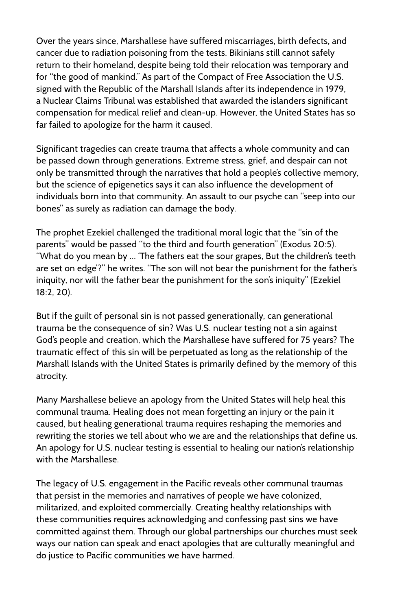Over the years since, Marshallese have suffered miscarriages, birth defects, and cancer due to radiation poisoning from the tests. Bikinians still cannot safely return to their homeland, despite being told their relocation was temporary and for "the good of mankind." As part of the Compact of Free Association the U.S. signed with the Republic of the Marshall Islands after its independence in 1979, a Nuclear Claims Tribunal was established that awarded the islanders significant compensation for medical relief and clean-up. However, the United States has so far failed to apologize for the harm it caused.

Significant tragedies can create trauma that affects a whole community and can be passed down through generations. Extreme stress, grief, and despair can not only be transmitted through the narratives that hold a people's collective memory, but the science of epigenetics says it can also influence the development of individuals born into that community. An assault to our psyche can "seep into our bones" as surely as radiation can damage the body.

The prophet Ezekiel challenged the traditional moral logic that the "sin of the parents" would be passed "to the third and fourth generation" (Exodus 20:5). "What do you mean by … 'The fathers eat the sour grapes, But the children's teeth are set on edge'?" he writes. "The son will not bear the punishment for the father's iniquity, nor will the father bear the punishment for the son's iniquity" (Ezekiel 18:2, 20).

But if the guilt of personal sin is not passed generationally, can generational trauma be the consequence of sin? Was U.S. nuclear testing not a sin against God's people and creation, which the Marshallese have suffered for 75 years? The traumatic effect of this sin will be perpetuated as long as the relationship of the Marshall Islands with the United States is primarily defined by the memory of this atrocity.

Many Marshallese believe an apology from the United States will help heal this communal trauma. Healing does not mean forgetting an injury or the pain it caused, but healing generational trauma requires reshaping the memories and rewriting the stories we tell about who we are and the relationships that define us. An apology for U.S. nuclear testing is essential to healing our nation's relationship with the Marshallese.

The legacy of U.S. engagement in the Pacific reveals other communal traumas that persist in the memories and narratives of people we have colonized, militarized, and exploited commercially. Creating healthy relationships with these communities requires acknowledging and confessing past sins we have committed against them. Through our global partnerships our churches must seek ways our nation can speak and enact apologies that are culturally meaningful and do justice to Pacific communities we have harmed.